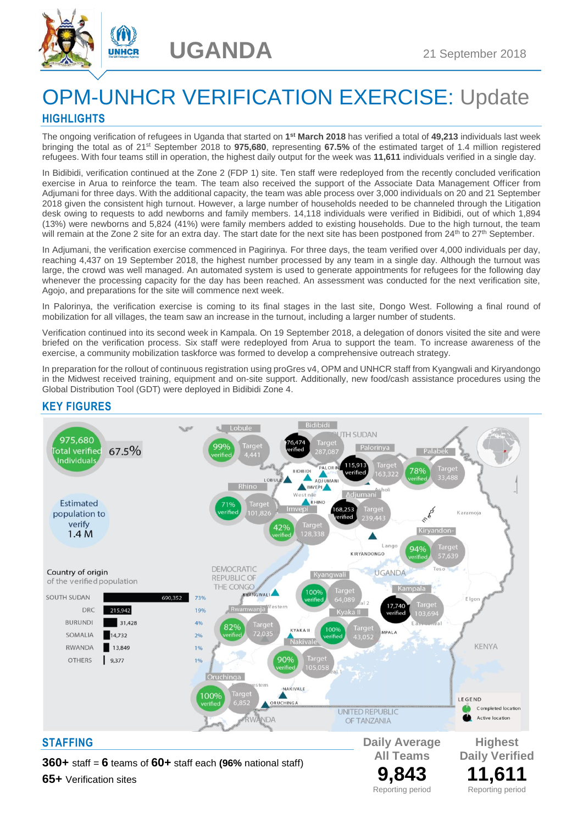



# OPM-UNHCR VERIFICATION EXERCISE: Update **HIGHLIGHTS**

The ongoing verification of refugees in Uganda that started on **1 st March 2018** has verified a total of **49,213** individuals last week bringing the total as of 21st September 2018 to **975,680**, representing **67.5%** of the estimated target of 1.4 million registered refugees. With four teams still in operation, the highest daily output for the week was **11,611** individuals verified in a single day.

In Bidibidi, verification continued at the Zone 2 (FDP 1) site. Ten staff were redeployed from the recently concluded verification exercise in Arua to reinforce the team. The team also received the support of the Associate Data Management Officer from Adjumani for three days. With the additional capacity, the team was able process over 3,000 individuals on 20 and 21 September 2018 given the consistent high turnout. However, a large number of households needed to be channeled through the Litigation desk owing to requests to add newborns and family members. 14,118 individuals were verified in Bidibidi, out of which 1,894 (13%) were newborns and 5,824 (41%) were family members added to existing households. Due to the high turnout, the team will remain at the Zone 2 site for an extra day. The start date for the next site has been postponed from 24<sup>th</sup> to 27<sup>th</sup> September.

In Adjumani, the verification exercise commenced in Pagirinya. For three days, the team verified over 4,000 individuals per day, reaching 4,437 on 19 September 2018, the highest number processed by any team in a single day. Although the turnout was large, the crowd was well managed. An automated system is used to generate appointments for refugees for the following day whenever the processing capacity for the day has been reached. An assessment was conducted for the next verification site, Agojo, and preparations for the site will commence next week.

In Palorinya, the verification exercise is coming to its final stages in the last site, Dongo West. Following a final round of mobilization for all villages, the team saw an increase in the turnout, including a larger number of students.

Verification continued into its second week in Kampala. On 19 September 2018, a delegation of donors visited the site and were briefed on the verification process. Six staff were redeployed from Arua to support the team. To increase awareness of the exercise, a community mobilization taskforce was formed to develop a comprehensive outreach strategy.

In preparation for the rollout of continuous registration using proGres v4, OPM and UNHCR staff from Kyangwali and Kiryandongo in the Midwest received training, equipment and on-site support. Additionally, new food/cash assistance procedures using the Global Distribution Tool (GDT) were deployed in Bidibidi Zone 4.

### **KEY FIGURES**